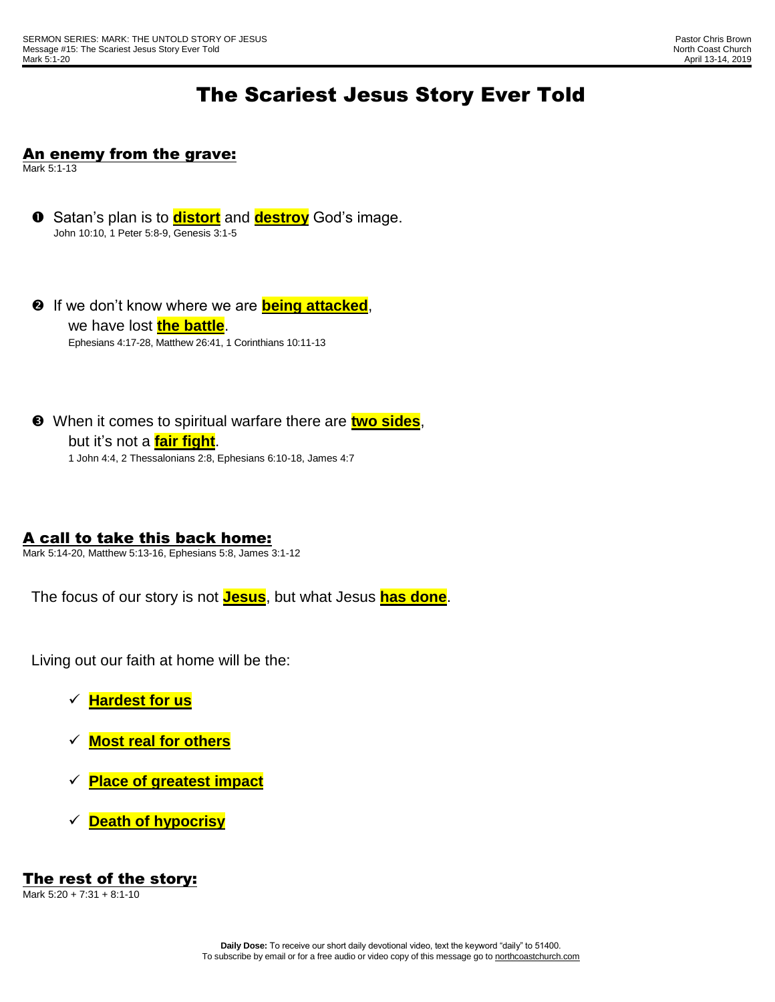# The Scariest Jesus Story Ever Told

### An enemy from the grave:

Mark 5:1-13

- **O** Satan's plan is to **distort** and **destroy** God's image. John 10:10, 1 Peter 5:8-9, Genesis 3:1-5
- **2** If we don't know where we are **being attacked**, we have lost **the battle**. Ephesians 4:17-28, Matthew 26:41, 1 Corinthians 10:11-13
- When it comes to spiritual warfare there are **two sides**, but it's not a **fair fight**. 1 John 4:4, 2 Thessalonians 2:8, Ephesians 6:10-18, James 4:7

A call to take this back home:

Mark 5:14-20, Matthew 5:13-16, Ephesians 5:8, James 3:1-12

The focus of our story is not **Jesus**, but what Jesus **has done**.

Living out our faith at home will be the:

- **Hardest for us**
- **Most real for others**
- **Place of greatest impact**
- **Death of hypocrisy**

#### The rest of the story: Mark 5:20 + 7:31 + 8:1-10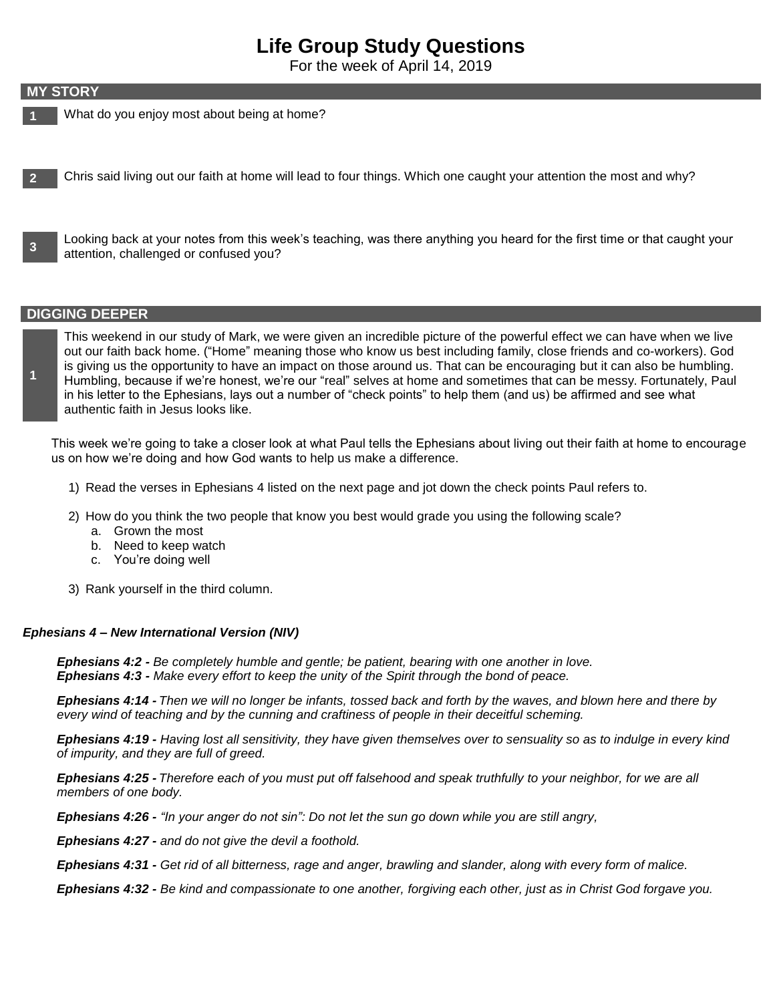## **Life Group Study Questions**

For the week of April 14, 2019

#### **MY STORY**

- **1** What do you enjoy most about being at home?
- **2** Chris said living out our faith at home will lead to four things. Which one caught your attention the most and why?

**3** Looking back at your notes from this week's teaching, was there anything you heard for the first time or that caught your attention, challenged or confused you?

#### **DIGGING DEEPER**

**1**

This weekend in our study of Mark, we were given an incredible picture of the powerful effect we can have when we live out our faith back home. ("Home" meaning those who know us best including family, close friends and co-workers). God is giving us the opportunity to have an impact on those around us. That can be encouraging but it can also be humbling. Humbling, because if we're honest, we're our "real" selves at home and sometimes that can be messy. Fortunately, Paul in his letter to the Ephesians, lays out a number of "check points" to help them (and us) be affirmed and see what authentic faith in Jesus looks like.

This week we're going to take a closer look at what Paul tells the Ephesians about living out their faith at home to encourage us on how we're doing and how God wants to help us make a difference.

- 1) Read the verses in Ephesians 4 listed on the next page and jot down the check points Paul refers to.
- 2) How do you think the two people that know you best would grade you using the following scale?
	- a. Grown the most
	- b. Need to keep watch
	- c. You're doing well
- 3) Rank yourself in the third column.

#### *Ephesians 4 – New International Version (NIV)*

*Ephesians 4:2 - Be completely humble and gentle; be patient, bearing with one another in love. Ephesians 4:3 - Make every effort to keep the unity of the Spirit through the bond of peace.*

*Ephesians 4:14 - Then we will no longer be infants, tossed back and forth by the waves, and blown here and there by every wind of teaching and by the cunning and craftiness of people in their deceitful scheming.*

*Ephesians 4:19 - Having lost all sensitivity, they have given themselves over to sensuality so as to indulge in every kind of impurity, and they are full of greed.*

*Ephesians 4:25 - Therefore each of you must put off falsehood and speak truthfully to your neighbor, for we are all members of one body.*

*Ephesians 4:26 - "In your anger do not sin": Do not let the sun go down while you are still angry,*

*Ephesians 4:27 - and do not give the devil a foothold.*

*Ephesians 4:31 - Get rid of all bitterness, rage and anger, brawling and slander, along with every form of malice.*

*Ephesians 4:32 - Be kind and compassionate to one another, forgiving each other, just as in Christ God forgave you.*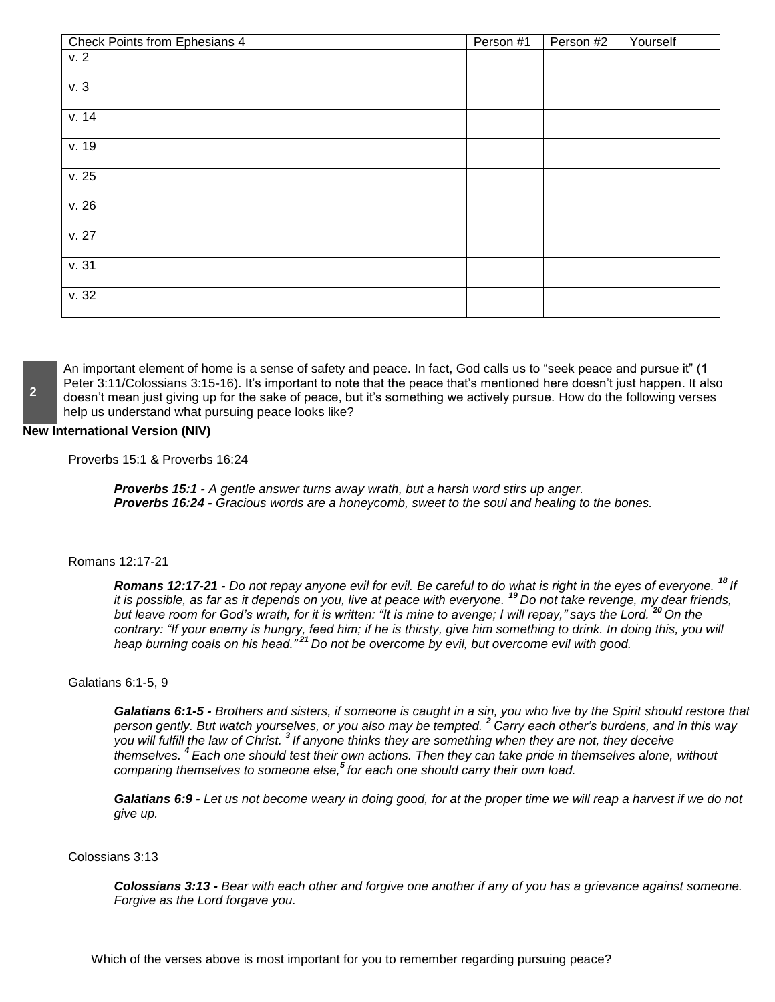| Check Points from Ephesians 4 | Person #1 | Person #2 | Yourself |
|-------------------------------|-----------|-----------|----------|
| v.2                           |           |           |          |
| v.3                           |           |           |          |
| v. 14                         |           |           |          |
| v.19                          |           |           |          |
| v.25                          |           |           |          |
| v.26                          |           |           |          |
| v. 27                         |           |           |          |
| v.31                          |           |           |          |
| v.32                          |           |           |          |

An important element of home is a sense of safety and peace. In fact, God calls us to "seek peace and pursue it" (1 Peter 3:11/Colossians 3:15-16). It's important to note that the peace that's mentioned here doesn't just happen. It also doesn't mean just giving up for the sake of peace, but it's something we actively pursue. How do the following verses help us understand what pursuing peace looks like?

#### **New International Version (NIV)**

Proverbs 15:1 & Proverbs 16:24

*Proverbs 15:1 - A gentle answer turns away wrath, but a harsh word stirs up anger. Proverbs 16:24 - Gracious words are a honeycomb, sweet to the soul and healing to the bones.*

#### Romans 12:17-21

*Romans 12:17-21 - Do not repay anyone evil for evil. Be careful to do what is right in the eyes of everyone. <sup>18</sup> If it is possible, as far as it depends on you, live at peace with everyone. <sup>19</sup> Do not take revenge, my dear friends, but leave room for God's wrath, for it is written: "It is mine to avenge; I will repay," says the Lord. <sup>20</sup> On the contrary: "If your enemy is hungry, feed him; if he is thirsty, give him something to drink. In doing this, you will heap burning coals on his head." <sup>21</sup> Do not be overcome by evil, but overcome evil with good.*

#### Galatians 6:1-5, 9

*Galatians 6:1-5 - Brothers and sisters, if someone is caught in a sin, you who live by the Spirit should restore that person gently. But watch yourselves, or you also may be tempted. <sup>2</sup> Carry each other's burdens, and in this way you will fulfill the law of Christ. 3 If anyone thinks they are something when they are not, they deceive themselves. <sup>4</sup> Each one should test their own actions. Then they can take pride in themselves alone, without comparing themselves to someone else,<sup>5</sup> for each one should carry their own load.*

*Galatians 6:9 - Let us not become weary in doing good, for at the proper time we will reap a harvest if we do not give up.*

#### Colossians 3:13

*Colossians 3:13 - Bear with each other and forgive one another if any of you has a grievance against someone. Forgive as the Lord forgave you.*